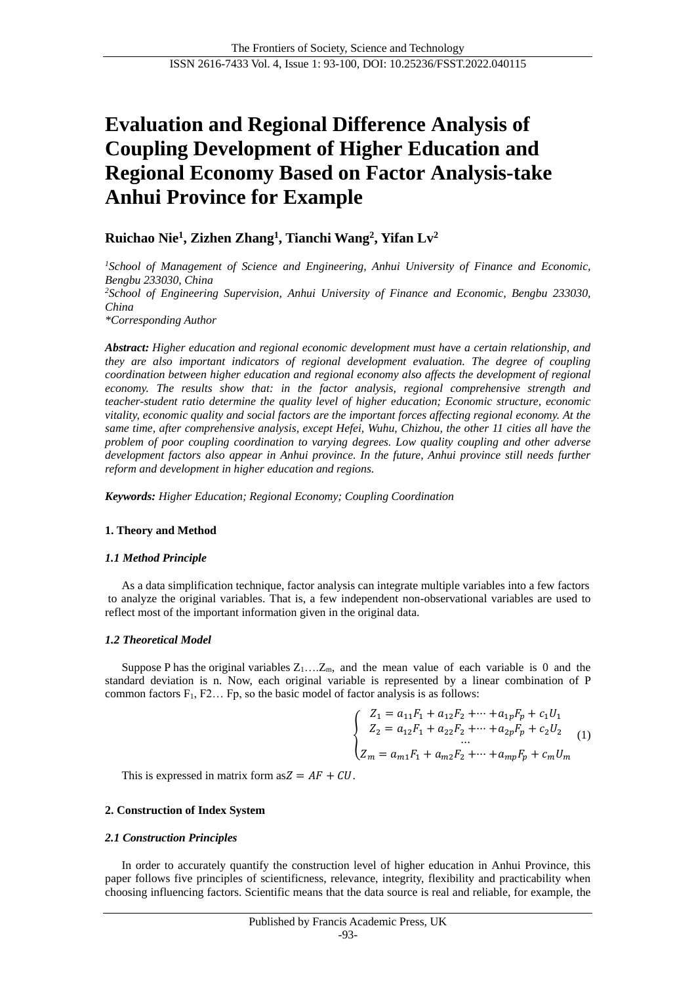# **Evaluation and Regional Difference Analysis of Coupling Development of Higher Education and Regional Economy Based on Factor Analysis-take Anhui Province for Example**

# **Ruichao Nie<sup>1</sup> , Zizhen Zhang<sup>1</sup> , Tianchi Wang 2 , Yifan Lv<sup>2</sup>**

*<sup>1</sup>School of Management of Science and Engineering, Anhui University of Finance and Economic, Bengbu 233030, China <sup>2</sup>School of Engineering Supervision, Anhui University of Finance and Economic, Bengbu 233030, China \*Corresponding Author*

*Abstract: Higher education and regional economic development must have a certain relationship, and they are also important indicators of regional development evaluation. The degree of coupling coordination between higher education and regional economy also affects the development of regional economy. The results show that: in the factor analysis, regional comprehensive strength and teacher-student ratio determine the quality level of higher education; Economic structure, economic vitality, economic quality and social factors are the important forces affecting regional economy. At the same time, after comprehensive analysis, except Hefei, Wuhu, Chizhou, the other 11 cities all have the problem of poor coupling coordination to varying degrees. Low quality coupling and other adverse development factors also appear in Anhui province. In the future, Anhui province still needs further reform and development in higher education and regions.*

*Keywords: Higher Education; Regional Economy; Coupling Coordination*

## **1. Theory and Method**

#### *1.1 Method Principle*

As a data simplification technique, factor analysis can integrate multiple variables into a few factors to analyze the original variables. That is, a few independent non-observational variables are used to reflect most of the important information given in the original data.

## *1.2 Theoretical Model*

Suppose P has the original variables  $Z_1$ ... $Z_m$ , and the mean value of each variable is 0 and the standard deviation is n. Now, each original variable is represented by a linear combination of P common factors  $F_1$ ,  $F_2$ ... Fp, so the basic model of factor analysis is as follows:

$$
\left\{ \begin{array}{l} Z_1=a_{11}F_1+a_{12}F_2+\cdots+a_{1p}F_p+c_1U_1 \\ Z_2=a_{12}F_1+a_{22}F_2+\cdots+a_{2p}F_p+c_2U_2 \\ \vdots \\ Z_m=a_{m1}F_1+a_{m2}F_2+\cdots+a_{mp}F_p+c_mU_m \end{array} \right. \tag{1}
$$

This is expressed in matrix form as  $Z = AF + CU$ .

## **2. Construction of Index System**

#### *2.1 Construction Principles*

In order to accurately quantify the construction level of higher education in Anhui Province, this paper follows five principles of scientificness, relevance, integrity, flexibility and practicability when choosing influencing factors. Scientific means that the data source is real and reliable, for example, the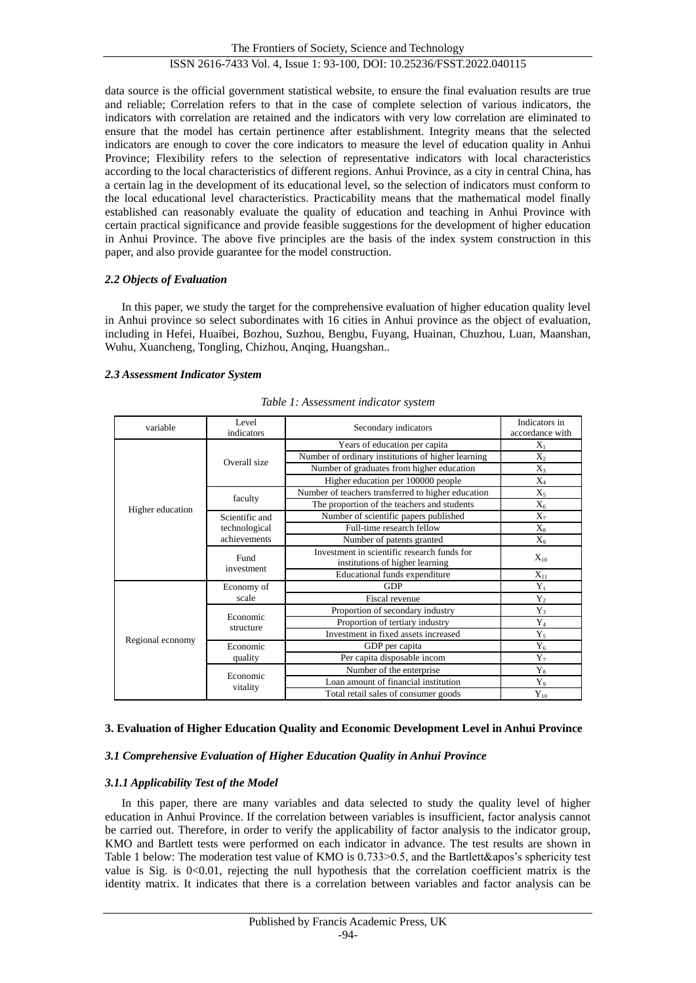The Frontiers of Society, Science and Technology ISSN 2616-7433 Vol. 4, Issue 1: 93-100, DOI: 10.25236/FSST.2022.040115

data source is the official government statistical website, to ensure the final evaluation results are true and reliable; Correlation refers to that in the case of complete selection of various indicators, the indicators with correlation are retained and the indicators with very low correlation are eliminated to ensure that the model has certain pertinence after establishment. Integrity means that the selected indicators are enough to cover the core indicators to measure the level of education quality in Anhui Province; Flexibility refers to the selection of representative indicators with local characteristics according to the local characteristics of different regions. Anhui Province, as a city in central China, has a certain lag in the development of its educational level, so the selection of indicators must conform to the local educational level characteristics. Practicability means that the mathematical model finally established can reasonably evaluate the quality of education and teaching in Anhui Province with certain practical significance and provide feasible suggestions for the development of higher education in Anhui Province. The above five principles are the basis of the index system construction in this paper, and also provide guarantee for the model construction.

## *2.2 Objects of Evaluation*

In this paper, we study the target for the comprehensive evaluation of higher education quality level in Anhui province so select subordinates with 16 cities in Anhui province as the object of evaluation, including in Hefei, Huaibei, Bozhou, Suzhou, Bengbu, Fuyang, Huainan, Chuzhou, Luan, Maanshan, Wuhu, Xuancheng, Tongling, Chizhou, Anqing, Huangshan..

## *2.3 Assessment Indicator System*

| variable         | Level<br>indicators | Secondary indicators                                                           | Indicators in<br>accordance with |
|------------------|---------------------|--------------------------------------------------------------------------------|----------------------------------|
|                  |                     | Years of education per capita                                                  | $X_1$                            |
|                  | Overall size        | Number of ordinary institutions of higher learning                             | $X_2$                            |
|                  |                     | Number of graduates from higher education                                      | $X_3$                            |
|                  |                     | Higher education per 100000 people                                             | $X_4$                            |
|                  | faculty             | Number of teachers transferred to higher education                             | $X_5$                            |
| Higher education |                     | The proportion of the teachers and students                                    | $X_6$                            |
|                  | Scientific and      | Number of scientific papers published                                          | $X_7$                            |
|                  | technological       | Full-time research fellow                                                      | $X_8$                            |
|                  | achievements        | Number of patents granted                                                      | $X_9$                            |
|                  | Fund                | Investment in scientific research funds for<br>institutions of higher learning | $X_{10}$                         |
|                  | investment          | Educational funds expenditure                                                  | $X_{11}$                         |
|                  | Economy of          | <b>GDP</b>                                                                     | $Y_1$                            |
|                  | scale               | Fiscal revenue                                                                 | $Y_2$                            |
|                  | Economic            | Proportion of secondary industry                                               | $Y_3$                            |
|                  | structure           | Proportion of tertiary industry                                                | $Y_4$                            |
| Regional economy |                     | Investment in fixed assets increased                                           | $Y_5$                            |
|                  | Economic            | GDP per capita                                                                 | $Y_6$                            |
|                  | quality             | Per capita disposable incom                                                    | $Y_7$                            |
|                  | Economic            | Number of the enterprise                                                       | $Y_8$                            |
|                  | vitality            | Loan amount of financial institution                                           | $Y_9$                            |
|                  |                     | Total retail sales of consumer goods                                           | $Y_{10}$                         |

*Table 1: Assessment indicator system*

## **3. Evaluation of Higher Education Quality and Economic Development Level in Anhui Province**

## *3.1 Comprehensive Evaluation of Higher Education Quality in Anhui Province*

## *3.1.1 Applicability Test of the Model*

In this paper, there are many variables and data selected to study the quality level of higher education in Anhui Province. If the correlation between variables is insufficient, factor analysis cannot be carried out. Therefore, in order to verify the applicability of factor analysis to the indicator group, KMO and Bartlett tests were performed on each indicator in advance. The test results are shown in Table 1 below: The moderation test value of KMO is 0.733>0.5, and the Bartlett&apos's sphericity test value is Sig. is 0<0.01, rejecting the null hypothesis that the correlation coefficient matrix is the identity matrix. It indicates that there is a correlation between variables and factor analysis can be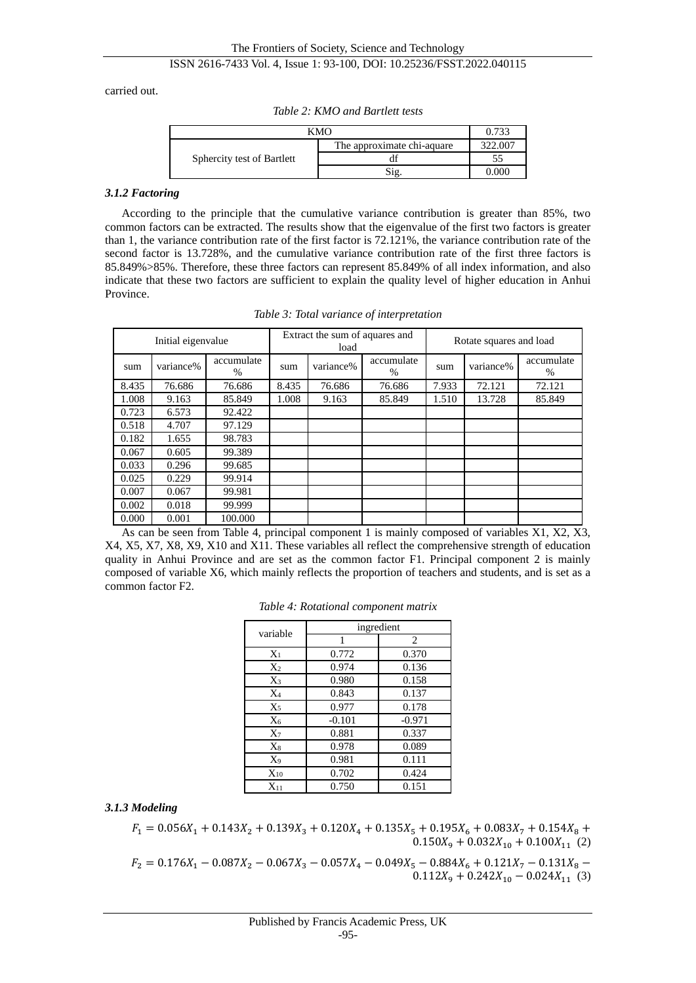carried out.

| <b>KMO</b>                 | 0.733                      |         |
|----------------------------|----------------------------|---------|
|                            | The approximate chi-aquare | 322.007 |
| Sphercity test of Bartlett |                            |         |
|                            | Sig                        | 0.000   |

*Table 2: KMO and Bartlett tests*

#### *3.1.2 Factoring*

According to the principle that the cumulative variance contribution is greater than 85%, two common factors can be extracted. The results show that the eigenvalue of the first two factors is greater than 1, the variance contribution rate of the first factor is 72.121%, the variance contribution rate of the second factor is 13.728%, and the cumulative variance contribution rate of the first three factors is 85.849%>85%. Therefore, these three factors can represent 85.849% of all index information, and also indicate that these two factors are sufficient to explain the quality level of higher education in Anhui Province.

|       | Initial eigenvalue |                 | Extract the sum of aquares and<br>load |           |                             | Rotate squares and load |           |                    |
|-------|--------------------|-----------------|----------------------------------------|-----------|-----------------------------|-------------------------|-----------|--------------------|
| sum   | variance%          | accumulate<br>% | sum                                    | variance% | accumulate<br>$\frac{0}{0}$ | sum                     | variance% | accumulate<br>$\%$ |
| 8.435 | 76.686             | 76.686          | 8.435                                  | 76.686    | 76.686                      | 7.933                   | 72.121    | 72.121             |
| 1.008 | 9.163              | 85.849          | 1.008                                  | 9.163     | 85.849                      | 1.510                   | 13.728    | 85.849             |
| 0.723 | 6.573              | 92.422          |                                        |           |                             |                         |           |                    |
| 0.518 | 4.707              | 97.129          |                                        |           |                             |                         |           |                    |
| 0.182 | 1.655              | 98.783          |                                        |           |                             |                         |           |                    |
| 0.067 | 0.605              | 99.389          |                                        |           |                             |                         |           |                    |
| 0.033 | 0.296              | 99.685          |                                        |           |                             |                         |           |                    |
| 0.025 | 0.229              | 99.914          |                                        |           |                             |                         |           |                    |
| 0.007 | 0.067              | 99.981          |                                        |           |                             |                         |           |                    |
| 0.002 | 0.018              | 99.999          |                                        |           |                             |                         |           |                    |
| 0.000 | 0.001              | 100.000         |                                        |           |                             |                         |           |                    |

*Table 3: Total variance of interpretation*

As can be seen from Table 4, principal component 1 is mainly composed of variables X1, X2, X3, X4, X5, X7, X8, X9, X10 and X11. These variables all reflect the comprehensive strength of education quality in Anhui Province and are set as the common factor F1. Principal component 2 is mainly composed of variable X6, which mainly reflects the proportion of teachers and students, and is set as a common factor F2.

|          | ingredient |                |  |  |  |
|----------|------------|----------------|--|--|--|
| variable |            | $\overline{c}$ |  |  |  |
| $X_1$    | 0.772      | 0.370          |  |  |  |
| $X_2$    | 0.974      | 0.136          |  |  |  |
| $X_3$    | 0.980      | 0.158          |  |  |  |
| $X_4$    | 0.843      | 0.137          |  |  |  |
| $X_5$    | 0.977      | 0.178          |  |  |  |
| $X_6$    | $-0.101$   | $-0.971$       |  |  |  |
| $X_7$    | 0.881      | 0.337          |  |  |  |
| $X_8$    | 0.978      | 0.089          |  |  |  |
| X9       | 0.981      | 0.111          |  |  |  |
| $X_{10}$ | 0.702      | 0.424          |  |  |  |
| $X_{11}$ | 0.750      | 0.151          |  |  |  |

*Table 4: Rotational component matrix*

## *3.1.3 Modeling*

 $F_1 = 0.056X_1 + 0.143X_2 + 0.139X_3 + 0.120X_4 + 0.135X_5 + 0.195X_6 + 0.083X_7 + 0.154X_8 +$  $0.150X_9 + 0.032X_{10} + 0.100X_{11}$  (2)

 $F_2 = 0.176X_1 - 0.087X_2 - 0.067X_3 - 0.057X_4 - 0.049X_5 - 0.884X_6 + 0.121X_7 - 0.131X_8 0.112X_9 + 0.242X_{10} - 0.024X_{11}$  (3)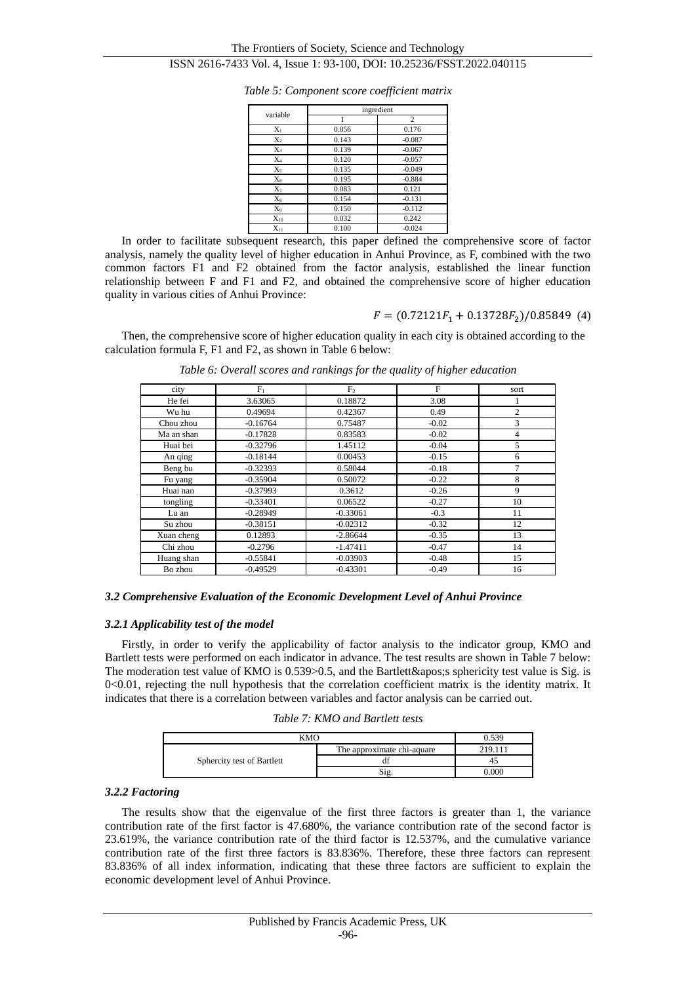|          |       | ingredient |
|----------|-------|------------|
| variable |       | 2          |
| $X_1$    | 0.056 | 0.176      |
| $X_2$    | 0.143 | $-0.087$   |
| $X_3$    | 0.139 | $-0.067$   |
| $X_4$    | 0.120 | $-0.057$   |
| $X_5$    | 0.135 | $-0.049$   |
| $X_6$    | 0.195 | $-0.884$   |
| $X_7$    | 0.083 | 0.121      |
| $X_8$    | 0.154 | $-0.131$   |
| $X_9$    | 0.150 | $-0.112$   |
| $X_{10}$ | 0.032 | 0.242      |
| $X_{11}$ | 0.100 | $-0.024$   |

*Table 5: Component score coefficient matrix*

In order to facilitate subsequent research, this paper defined the comprehensive score of factor analysis, namely the quality level of higher education in Anhui Province, as F, combined with the two common factors F1 and F2 obtained from the factor analysis, established the linear function relationship between F and F1 and F2, and obtained the comprehensive score of higher education quality in various cities of Anhui Province:

 $F = (0.72121F_1 + 0.13728F_2)/0.85849$  (4)

Then, the comprehensive score of higher education quality in each city is obtained according to the calculation formula F, F1 and F2, as shown in Table 6 below:

| city       | $F_1$      | F <sub>2</sub> | $_{\rm F}$ | sort           |
|------------|------------|----------------|------------|----------------|
| He fei     | 3.63065    | 0.18872        | 3.08       |                |
| Wu hu      | 0.49694    | 0.42367        | 0.49       | $\overline{c}$ |
| Chou zhou  | $-0.16764$ | 0.75487        | $-0.02$    | 3              |
| Ma an shan | $-0.17828$ | 0.83583        | $-0.02$    | $\overline{4}$ |
| Huai bei   | $-0.32796$ | 1.45112        | $-0.04$    | 5              |
| An qing    | $-0.18144$ | 0.00453        | $-0.15$    | 6              |
| Beng bu    | $-0.32393$ | 0.58044        | $-0.18$    | 7              |
| Fu yang    | $-0.35904$ | 0.50072        | $-0.22$    | 8              |
| Huai nan   | $-0.37993$ | 0.3612         | $-0.26$    | 9              |
| tongling   | $-0.33401$ | 0.06522        | $-0.27$    | 10             |
| Lu an      | $-0.28949$ | $-0.33061$     | $-0.3$     | 11             |
| Su zhou    | $-0.38151$ | $-0.02312$     | $-0.32$    | 12             |
| Xuan cheng | 0.12893    | $-2.86644$     | $-0.35$    | 13             |
| Chi zhou   | $-0.2796$  | $-1.47411$     | $-0.47$    | 14             |
| Huang shan | $-0.55841$ | $-0.03903$     | $-0.48$    | 15             |
| Bo zhou    | $-0.49529$ | $-0.43301$     | $-0.49$    | 16             |

*Table 6: Overall scores and rankings for the quality of higher education*

## *3.2 Comprehensive Evaluation of the Economic Development Level of Anhui Province*

## *3.2.1 Applicability test of the model*

Firstly, in order to verify the applicability of factor analysis to the indicator group, KMO and Bartlett tests were performed on each indicator in advance. The test results are shown in Table 7 below: The moderation test value of KMO is  $0.539 > 0.5$ , and the Bartlett & apos; sphericity test value is Sig. is  $0<0.01$ , rejecting the null hypothesis that the correlation coefficient matrix is the identity matrix. It indicates that there is a correlation between variables and factor analysis can be carried out.

*Table 7: KMO and Bartlett tests*

| KMO                        | በ 539                      |         |
|----------------------------|----------------------------|---------|
| Sphercity test of Bartlett | The approximate chi-aquare | 219 111 |
|                            |                            |         |
|                            | $\mathbf{S1}$              | 000     |

#### *3.2.2 Factoring*

The results show that the eigenvalue of the first three factors is greater than 1, the variance contribution rate of the first factor is 47.680%, the variance contribution rate of the second factor is 23.619%, the variance contribution rate of the third factor is 12.537%, and the cumulative variance contribution rate of the first three factors is 83.836%. Therefore, these three factors can represent 83.836% of all index information, indicating that these three factors are sufficient to explain the economic development level of Anhui Province.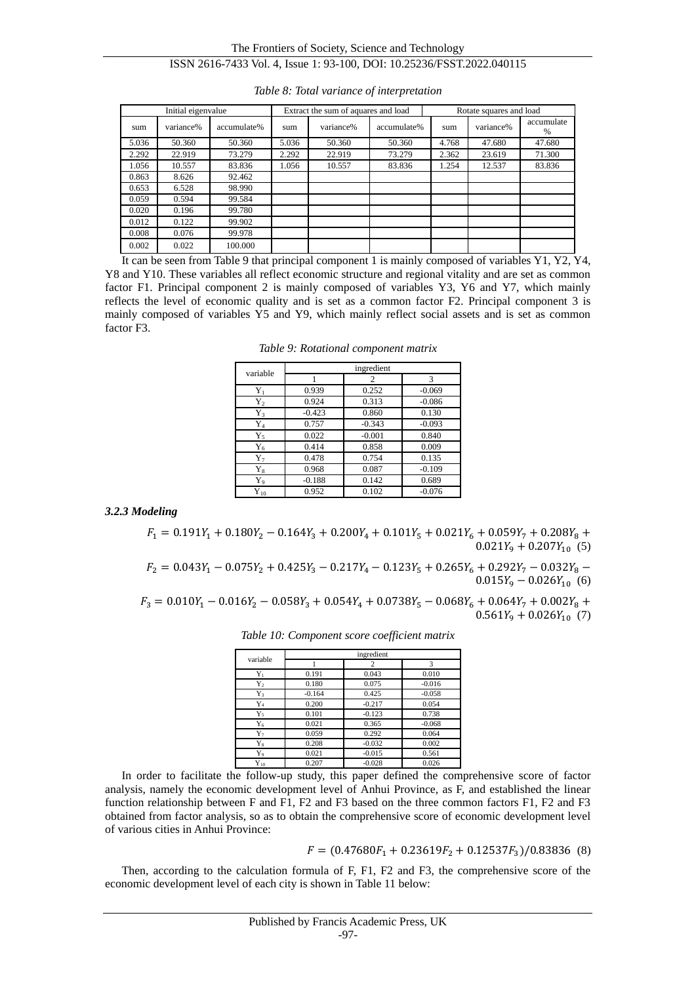## The Frontiers of Society, Science and Technology ISSN 2616-7433 Vol. 4, Issue 1: 93-100, DOI: 10.25236/FSST.2022.040115

|       | Initial eigenvalue |             |       | Extract the sum of aquares and load |             |       | Rotate squares and load |                 |  |
|-------|--------------------|-------------|-------|-------------------------------------|-------------|-------|-------------------------|-----------------|--|
| sum   | variance%          | accumulate% | sum   | variance%                           | accumulate% | sum   | variance%               | accumulate<br>% |  |
| 5.036 | 50.360             | 50.360      | 5.036 | 50.360                              | 50.360      | 4.768 | 47.680                  | 47.680          |  |
| 2.292 | 22.919             | 73.279      | 2.292 | 22.919                              | 73.279      | 2.362 | 23.619                  | 71.300          |  |
| 1.056 | 10.557             | 83.836      | 1.056 | 10.557                              | 83.836      | 1.254 | 12.537                  | 83.836          |  |
| 0.863 | 8.626              | 92.462      |       |                                     |             |       |                         |                 |  |
| 0.653 | 6.528              | 98.990      |       |                                     |             |       |                         |                 |  |
| 0.059 | 0.594              | 99.584      |       |                                     |             |       |                         |                 |  |
| 0.020 | 0.196              | 99.780      |       |                                     |             |       |                         |                 |  |
| 0.012 | 0.122              | 99.902      |       |                                     |             |       |                         |                 |  |
| 0.008 | 0.076              | 99.978      |       |                                     |             |       |                         |                 |  |
| 0.002 | 0.022              | 100.000     |       |                                     |             |       |                         |                 |  |

*Table 8: Total variance of interpretation*

It can be seen from Table 9 that principal component 1 is mainly composed of variables Y1, Y2, Y4, Y8 and Y10. These variables all reflect economic structure and regional vitality and are set as common factor F1. Principal component 2 is mainly composed of variables Y3, Y6 and Y7, which mainly reflects the level of economic quality and is set as a common factor F2. Principal component 3 is mainly composed of variables Y5 and Y9, which mainly reflect social assets and is set as common factor F3.

*Table 9: Rotational component matrix*

| variable       |          | ingredient |          |  |  |  |  |  |
|----------------|----------|------------|----------|--|--|--|--|--|
|                |          | 2          | 3        |  |  |  |  |  |
| $Y_1$          | 0.939    | 0.252      | $-0.069$ |  |  |  |  |  |
| ${\rm Y_2}$    | 0.924    | 0.313      | $-0.086$ |  |  |  |  |  |
| Y3             | $-0.423$ | 0.860      | 0.130    |  |  |  |  |  |
| ${\rm Y}_4$    | 0.757    | $-0.343$   | $-0.093$ |  |  |  |  |  |
| $Y_5$          | 0.022    | $-0.001$   | 0.840    |  |  |  |  |  |
| $Y_6$          | 0.414    | 0.858      | 0.009    |  |  |  |  |  |
| Y7             | 0.478    | 0.754      | 0.135    |  |  |  |  |  |
| ${\rm Y}_8$    | 0.968    | 0.087      | $-0.109$ |  |  |  |  |  |
| Y9             | $-0.188$ | 0.142      | 0.689    |  |  |  |  |  |
| ${\rm Y}_{10}$ | 0.952    | 0.102      | $-0.076$ |  |  |  |  |  |

*3.2.3 Modeling*

 $F_1 = 0.191Y_1 + 0.180Y_2 - 0.164Y_3 + 0.200Y_4 + 0.101Y_5 + 0.021Y_6 + 0.059Y_7 + 0.208Y_8 +$  $0.021Y_9 + 0.207Y_{10}$  (5)

 $F_2 = 0.043Y_1 - 0.075Y_2 + 0.425Y_3 - 0.217Y_4 - 0.123Y_5 + 0.265Y_6 + 0.292Y_7 - 0.032Y_8 0.015Y_9 - 0.026Y_{10}$  (6)

 $F_3 = 0.010Y_1 - 0.016Y_2 - 0.058Y_3 + 0.054Y_4 + 0.0738Y_5 - 0.068Y_6 + 0.064Y_7 + 0.002Y_8 +$  $0.561Y_9 + 0.026Y_{10}$  (7)

| variable       | ingredient |          |          |  |  |  |  |
|----------------|------------|----------|----------|--|--|--|--|
|                |            | 2        | 3        |  |  |  |  |
| $Y_1$          | 0.191      | 0.043    | 0.010    |  |  |  |  |
| $Y_2$          | 0.180      | 0.075    | $-0.016$ |  |  |  |  |
| Y3             | $-0.164$   | 0.425    | $-0.058$ |  |  |  |  |
| ${\rm Y}_4$    | 0.200      | $-0.217$ | 0.054    |  |  |  |  |
| $Y_5$          | 0.101      | $-0.123$ | 0.738    |  |  |  |  |
| ${\rm Y}_6$    | 0.021      | 0.365    | $-0.068$ |  |  |  |  |
| $Y_7$          | 0.059      | 0.292    | 0.064    |  |  |  |  |
| ${\rm Y}_8$    | 0.208      | $-0.032$ | 0.002    |  |  |  |  |
| $Y_9$          | 0.021      | $-0.015$ | 0.561    |  |  |  |  |
| ${\rm Y}_{10}$ | 0.207      | $-0.028$ | 0.026    |  |  |  |  |

*Table 10: Component score coefficient matrix*

In order to facilitate the follow-up study, this paper defined the comprehensive score of factor analysis, namely the economic development level of Anhui Province, as F, and established the linear function relationship between F and F1, F2 and F3 based on the three common factors F1, F2 and F3 obtained from factor analysis, so as to obtain the comprehensive score of economic development level of various cities in Anhui Province:

$$
F = (0.47680F1 + 0.23619F2 + 0.12537F3)/0.83836
$$
 (8)

Then, according to the calculation formula of F, F1, F2 and F3, the comprehensive score of the economic development level of each city is shown in Table 11 below: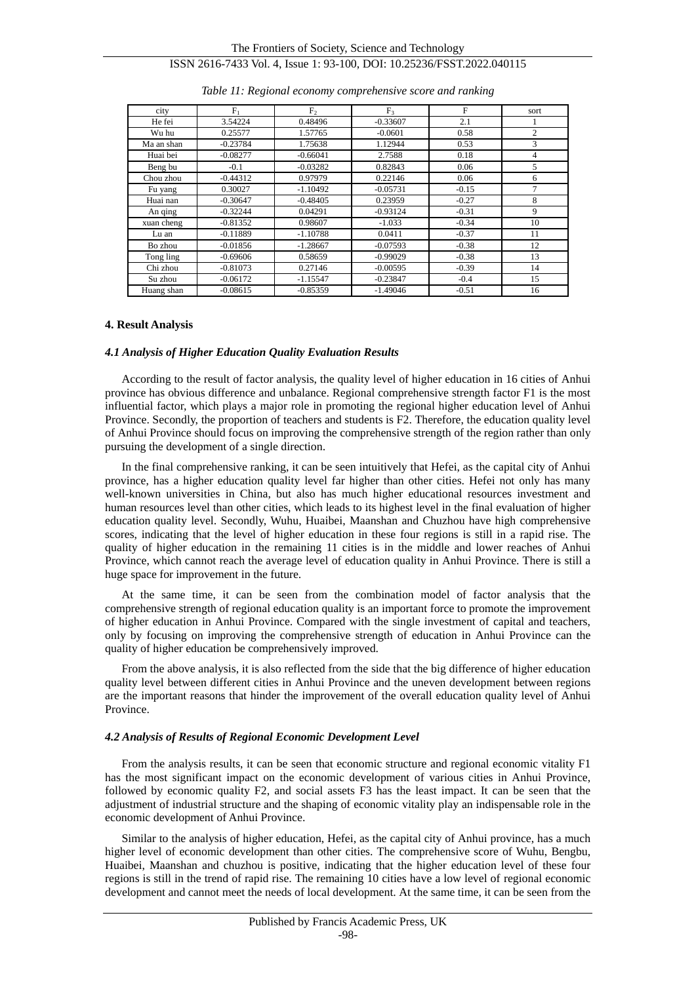| city       | $F_1$      | F <sub>2</sub> | F <sub>3</sub> | F       | sort           |
|------------|------------|----------------|----------------|---------|----------------|
| He fei     | 3.54224    | 0.48496        | $-0.33607$     | 2.1     |                |
| Wu hu      | 0.25577    | 1.57765        | $-0.0601$      | 0.58    | $\overline{c}$ |
| Ma an shan | $-0.23784$ | 1.75638        | 1.12944        | 0.53    | 3              |
| Huai bei   | $-0.08277$ | $-0.66041$     | 2.7588         | 0.18    | 4              |
| Beng bu    | $-0.1$     | $-0.03282$     | 0.82843        | 0.06    | 5              |
| Chou zhou  | $-0.44312$ | 0.97979        | 0.22146        | 0.06    | 6              |
| Fu yang    | 0.30027    | $-1.10492$     | $-0.05731$     | $-0.15$ | $\mathcal{I}$  |
| Huai nan   | $-0.30647$ | $-0.48405$     | 0.23959        | $-0.27$ | 8              |
| An qing    | $-0.32244$ | 0.04291        | $-0.93124$     | $-0.31$ | 9              |
| xuan cheng | $-0.81352$ | 0.98607        | $-1.033$       | $-0.34$ | 10             |
| Lu an      | $-0.11889$ | $-1.10788$     | 0.0411         | $-0.37$ | 11             |
| Bo zhou    | $-0.01856$ | $-1.28667$     | $-0.07593$     | $-0.38$ | 12             |
| Tong ling  | $-0.69606$ | 0.58659        | $-0.99029$     | $-0.38$ | 13             |
| Chi zhou   | $-0.81073$ | 0.27146        | $-0.00595$     | $-0.39$ | 14             |
| Su zhou    | $-0.06172$ | $-1.15547$     | $-0.23847$     | $-0.4$  | 15             |
| Huang shan | $-0.08615$ | $-0.85359$     | $-1.49046$     | $-0.51$ | 16             |

#### *Table 11: Regional economy comprehensive score and ranking*

### **4. Result Analysis**

#### *4.1 Analysis of Higher Education Quality Evaluation Results*

According to the result of factor analysis, the quality level of higher education in 16 cities of Anhui province has obvious difference and unbalance. Regional comprehensive strength factor F1 is the most influential factor, which plays a major role in promoting the regional higher education level of Anhui Province. Secondly, the proportion of teachers and students is F2. Therefore, the education quality level of Anhui Province should focus on improving the comprehensive strength of the region rather than only pursuing the development of a single direction.

In the final comprehensive ranking, it can be seen intuitively that Hefei, as the capital city of Anhui province, has a higher education quality level far higher than other cities. Hefei not only has many well-known universities in China, but also has much higher educational resources investment and human resources level than other cities, which leads to its highest level in the final evaluation of higher education quality level. Secondly, Wuhu, Huaibei, Maanshan and Chuzhou have high comprehensive scores, indicating that the level of higher education in these four regions is still in a rapid rise. The quality of higher education in the remaining 11 cities is in the middle and lower reaches of Anhui Province, which cannot reach the average level of education quality in Anhui Province. There is still a huge space for improvement in the future.

At the same time, it can be seen from the combination model of factor analysis that the comprehensive strength of regional education quality is an important force to promote the improvement of higher education in Anhui Province. Compared with the single investment of capital and teachers, only by focusing on improving the comprehensive strength of education in Anhui Province can the quality of higher education be comprehensively improved.

From the above analysis, it is also reflected from the side that the big difference of higher education quality level between different cities in Anhui Province and the uneven development between regions are the important reasons that hinder the improvement of the overall education quality level of Anhui Province.

#### *4.2 Analysis of Results of Regional Economic Development Level*

From the analysis results, it can be seen that economic structure and regional economic vitality F1 has the most significant impact on the economic development of various cities in Anhui Province, followed by economic quality F2, and social assets F3 has the least impact. It can be seen that the adjustment of industrial structure and the shaping of economic vitality play an indispensable role in the economic development of Anhui Province.

Similar to the analysis of higher education, Hefei, as the capital city of Anhui province, has a much higher level of economic development than other cities. The comprehensive score of Wuhu, Bengbu, Huaibei, Maanshan and chuzhou is positive, indicating that the higher education level of these four regions is still in the trend of rapid rise. The remaining 10 cities have a low level of regional economic development and cannot meet the needs of local development. At the same time, it can be seen from the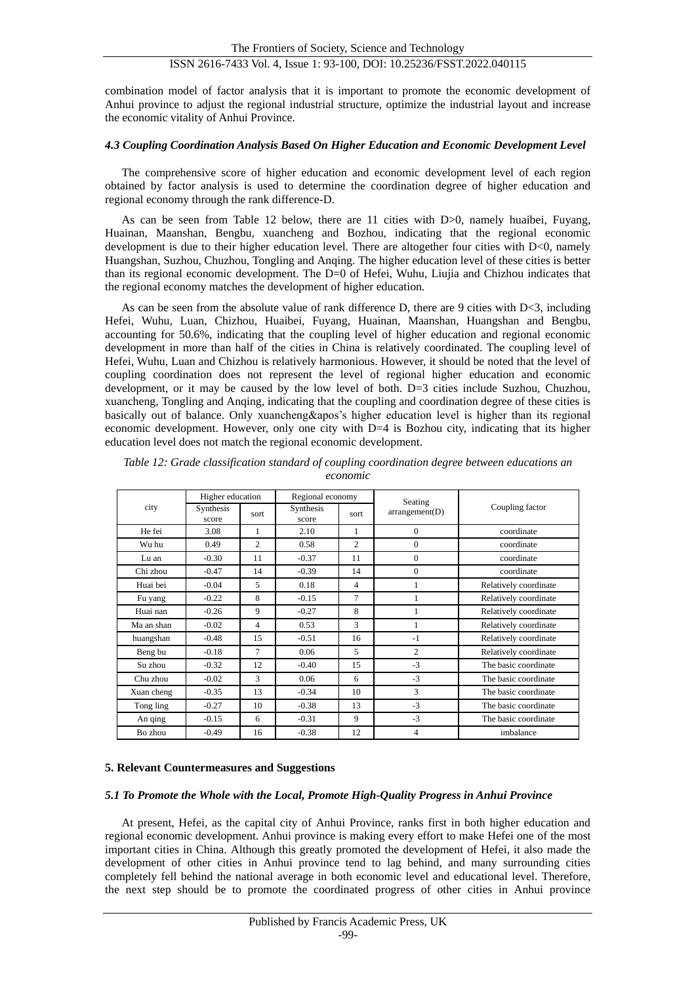combination model of factor analysis that it is important to promote the economic development of Anhui province to adjust the regional industrial structure, optimize the industrial layout and increase the economic vitality of Anhui Province.

## *4.3 Coupling Coordination Analysis Based On Higher Education and Economic Development Level*

The comprehensive score of higher education and economic development level of each region obtained by factor analysis is used to determine the coordination degree of higher education and regional economy through the rank difference-D.

As can be seen from Table 12 below, there are 11 cities with D>0, namely huaibei, Fuyang, Huainan, Maanshan, Bengbu, xuancheng and Bozhou, indicating that the regional economic development is due to their higher education level. There are altogether four cities with D<0, namely Huangshan, Suzhou, Chuzhou, Tongling and Anqing. The higher education level of these cities is better than its regional economic development. The D=0 of Hefei, Wuhu, Liujia and Chizhou indicates that the regional economy matches the development of higher education.

As can be seen from the absolute value of rank difference D, there are 9 cities with  $D < 3$ , including Hefei, Wuhu, Luan, Chizhou, Huaibei, Fuyang, Huainan, Maanshan, Huangshan and Bengbu, accounting for 50.6%, indicating that the coupling level of higher education and regional economic development in more than half of the cities in China is relatively coordinated. The coupling level of Hefei, Wuhu, Luan and Chizhou is relatively harmonious. However, it should be noted that the level of coupling coordination does not represent the level of regional higher education and economic development, or it may be caused by the low level of both. D=3 cities include Suzhou, Chuzhou, xuancheng, Tongling and Anqing, indicating that the coupling and coordination degree of these cities is basically out of balance. Only xuancheng&apos's higher education level is higher than its regional economic development. However, only one city with D=4 is Bozhou city, indicating that its higher education level does not match the regional economic development.

|            | Higher education   |                | Regional economy   |                | Seating        |                       |
|------------|--------------------|----------------|--------------------|----------------|----------------|-----------------------|
| city       | Synthesis<br>score | sort           | Synthesis<br>score | sort           | arrangement(D) | Coupling factor       |
| He fei     | 3.08               | 1              | 2.10               | 1              | $\Omega$       | coordinate            |
| Wu hu      | 0.49               | $\overline{2}$ | 0.58               | $\overline{c}$ | $\overline{0}$ | coordinate            |
| Lu an      | $-0.30$            | 11             | $-0.37$            | 11             | $\Omega$       | coordinate            |
| Chi zhou   | $-0.47$            | 14             | $-0.39$            | 14             | $\overline{0}$ | coordinate            |
| Huai bei   | $-0.04$            | 5              | 0.18               | 4              |                | Relatively coordinate |
| Fu yang    | $-0.22$            | 8              | $-0.15$            | 7              |                | Relatively coordinate |
| Huai nan   | $-0.26$            | 9              | $-0.27$            | 8              |                | Relatively coordinate |
| Ma an shan | $-0.02$            | 4              | 0.53               | 3              |                | Relatively coordinate |
| huangshan  | $-0.48$            | 15             | $-0.51$            | 16             | $-1$           | Relatively coordinate |
| Beng bu    | $-0.18$            | 7              | 0.06               | 5              | $\overline{c}$ | Relatively coordinate |
| Su zhou    | $-0.32$            | 12             | $-0.40$            | 15             | $-3$           | The basic coordinate  |
| Chu zhou   | $-0.02$            | 3              | 0.06               | 6              | $-3$           | The basic coordinate  |
| Xuan cheng | $-0.35$            | 13             | $-0.34$            | 10             | 3              | The basic coordinate  |
| Tong ling  | $-0.27$            | 10             | $-0.38$            | 13             | $-3$           | The basic coordinate  |
| An qing    | $-0.15$            | 6              | $-0.31$            | 9              | $-3$           | The basic coordinate  |
| Bo zhou    | $-0.49$            | 16             | $-0.38$            | 12             | $\overline{4}$ | imbalance             |

*Table 12: Grade classification standard of coupling coordination degree between educations an economic*

## **5. Relevant Countermeasures and Suggestions**

## *5.1 To Promote the Whole with the Local, Promote High-Quality Progress in Anhui Province*

At present, Hefei, as the capital city of Anhui Province, ranks first in both higher education and regional economic development. Anhui province is making every effort to make Hefei one of the most important cities in China. Although this greatly promoted the development of Hefei, it also made the development of other cities in Anhui province tend to lag behind, and many surrounding cities completely fell behind the national average in both economic level and educational level. Therefore, the next step should be to promote the coordinated progress of other cities in Anhui province